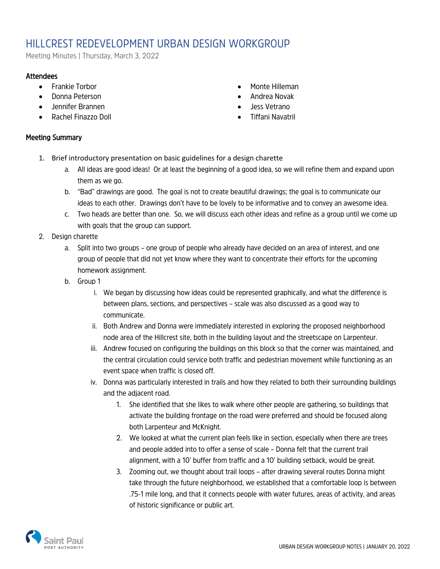## HILLCREST REDEVELOPMENT URBAN DESIGN WORKGROUP

Meeting Minutes | Thursday, March 3, 2022

## **Attendees**

- Frankie Torbor
- Donna Peterson
- Jennifer Brannen
- Rachel Finazzo Doll

## • Monte Hilleman • Andrea Novak

- Jess Vetrano
- 
- Tiffani Navatril

## Meeting Summary

- 1. Brief introductory presentation on basic guidelines for a design charette
	- a. All ideas are good ideas! Or at least the beginning of a good idea, so we will refine them and expand upon them as we go.
	- b. "Bad" drawings are good. The goal is not to create beautiful drawings; the goal is to communicate our ideas to each other. Drawings don't have to be lovely to be informative and to convey an awesome idea.
	- c. Two heads are better than one. So, we will discuss each other ideas and refine as a group until we come up with goals that the group can support.
- 2. Design charette
	- a. Split into two groups one group of people who already have decided on an area of interest, and one group of people that did not yet know where they want to concentrate their efforts for the upcoming homework assignment.
	- b. Group 1
		- i. We began by discussing how ideas could be represented graphically, and what the difference is between plans, sections, and perspectives – scale was also discussed as a good way to communicate.
		- ii. Both Andrew and Donna were immediately interested in exploring the proposed neighborhood node area of the Hillcrest site, both in the building layout and the streetscape on Larpenteur.
		- iii. Andrew focused on configuring the buildings on this block so that the corner was maintained, and the central circulation could service both traffic and pedestrian movement while functioning as an event space when traffic is closed off.
		- iv. Donna was particularly interested in trails and how they related to both their surrounding buildings and the adjacent road.
			- 1. She identified that she likes to walk where other people are gathering, so buildings that activate the building frontage on the road were preferred and should be focused along both Larpenteur and McKnight.
			- 2. We looked at what the current plan feels like in section, especially when there are trees and people added into to offer a sense of scale – Donna felt that the current trail alignment, with a 10' buffer from traffic and a 10' building setback, would be great.
			- 3. Zooming out, we thought about trail loops after drawing several routes Donna might take through the future neighborhood, we established that a comfortable loop is between .75-1 mile long, and that it connects people with water futures, areas of activity, and areas of historic significance or public art.

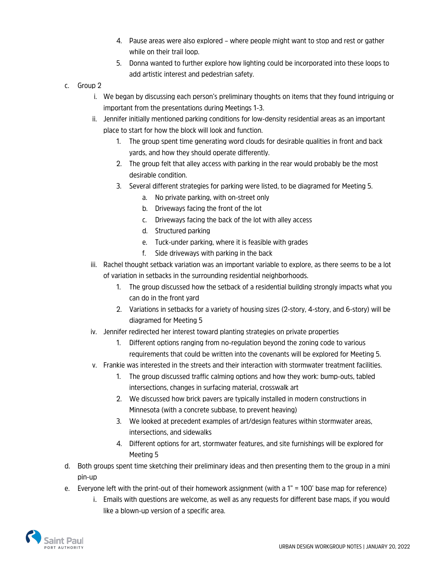- 4. Pause areas were also explored where people might want to stop and rest or gather while on their trail loop.
- 5. Donna wanted to further explore how lighting could be incorporated into these loops to add artistic interest and pedestrian safety.
- c. Group 2
	- i. We began by discussing each person's preliminary thoughts on items that they found intriguing or important from the presentations during Meetings 1-3.
	- ii. Jennifer initially mentioned parking conditions for low-density residential areas as an important place to start for how the block will look and function.
		- 1. The group spent time generating word clouds for desirable qualities in front and back yards, and how they should operate differently.
		- 2. The group felt that alley access with parking in the rear would probably be the most desirable condition.
		- 3. Several different strategies for parking were listed, to be diagramed for Meeting 5.
			- a. No private parking, with on-street only
			- b. Driveways facing the front of the lot
			- c. Driveways facing the back of the lot with alley access
			- d. Structured parking
			- e. Tuck-under parking, where it is feasible with grades
			- f. Side driveways with parking in the back
	- iii. Rachel thought setback variation was an important variable to explore, as there seems to be a lot of variation in setbacks in the surrounding residential neighborhoods.
		- 1. The group discussed how the setback of a residential building strongly impacts what you can do in the front yard
		- 2. Variations in setbacks for a variety of housing sizes (2-story, 4-story, and 6-story) will be diagramed for Meeting 5
	- iv. Jennifer redirected her interest toward planting strategies on private properties
		- 1. Different options ranging from no-regulation beyond the zoning code to various requirements that could be written into the covenants will be explored for Meeting 5.
	- v. Frankie was interested in the streets and their interaction with stormwater treatment facilities.
		- 1. The group discussed traffic calming options and how they work: bump-outs, tabled intersections, changes in surfacing material, crosswalk art
		- 2. We discussed how brick pavers are typically installed in modern constructions in Minnesota (with a concrete subbase, to prevent heaving)
		- 3. We looked at precedent examples of art/design features within stormwater areas, intersections, and sidewalks
		- 4. Different options for art, stormwater features, and site furnishings will be explored for Meeting 5
- d. Both groups spent time sketching their preliminary ideas and then presenting them to the group in a mini pin-up
- e. Everyone left with the print-out of their homework assignment (with a 1" = 100' base map for reference)
	- i. Emails with questions are welcome, as well as any requests for different base maps, if you would like a blown-up version of a specific area.